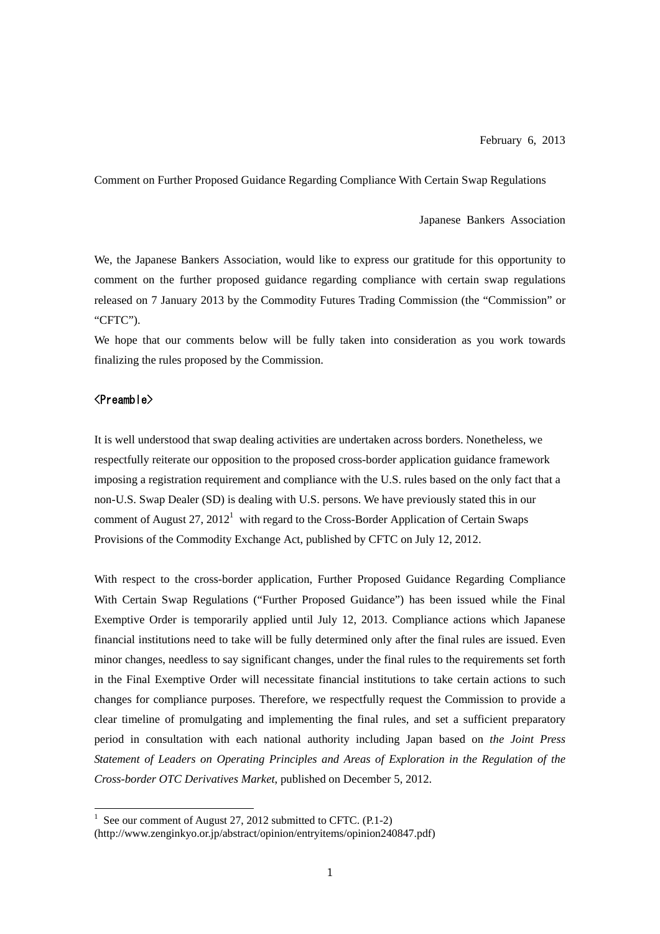Comment on Further Proposed Guidance Regarding Compliance With Certain Swap Regulations

Japanese Bankers Association

We, the Japanese Bankers Association, would like to express our gratitude for this opportunity to comment on the further proposed guidance regarding compliance with certain swap regulations released on 7 January 2013 by the Commodity Futures Trading Commission (the "Commission" or "CFTC").

We hope that our comments below will be fully taken into consideration as you work towards finalizing the rules proposed by the Commission.

# <Preamble>

It is well understood that swap dealing activities are undertaken across borders. Nonetheless, we respectfully reiterate our opposition to the proposed cross-border application guidance framework imposing a registration requirement and compliance with the U.S. rules based on the only fact that a non-U.S. Swap Dealer (SD) is dealing with U.S. persons. We have previously stated this in our comment of August 27,  $2012<sup>1</sup>$  with regard to the Cross-Border Application of Certain Swaps Provisions of the Commodity Exchange Act, published by CFTC on July 12, 2012.

With respect to the cross-border application, Further Proposed Guidance Regarding Compliance With Certain Swap Regulations ("Further Proposed Guidance") has been issued while the Final Exemptive Order is temporarily applied until July 12, 2013. Compliance actions which Japanese financial institutions need to take will be fully determined only after the final rules are issued. Even minor changes, needless to say significant changes, under the final rules to the requirements set forth in the Final Exemptive Order will necessitate financial institutions to take certain actions to such changes for compliance purposes. Therefore, we respectfully request the Commission to provide a clear timeline of promulgating and implementing the final rules, and set a sufficient preparatory period in consultation with each national authority including Japan based on *the Joint Press Statement of Leaders on Operating Principles and Areas of Exploration in the Regulation of the Cross-border OTC Derivatives Market*, published on December 5, 2012.

<sup>&</sup>lt;sup>1</sup> See our comment of August 27, 2012 submitted to CFTC. (P.1-2)

<sup>(</sup>http://www.zenginkyo.or.jp/abstract/opinion/entryitems/opinion240847.pdf)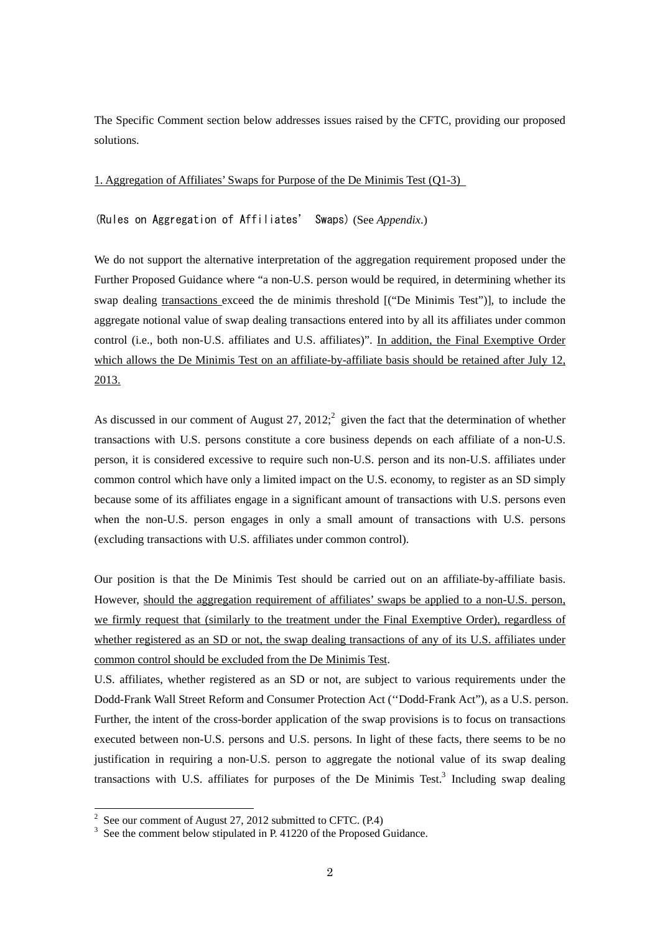The Specific Comment section below addresses issues raised by the CFTC, providing our proposed solutions.

1. Aggregation of Affiliates' Swaps for Purpose of the De Minimis Test (Q1-3)

(Rules on Aggregation of Affiliates' Swaps) (See *Appendix*.)

We do not support the alternative interpretation of the aggregation requirement proposed under the Further Proposed Guidance where "a non-U.S. person would be required, in determining whether its swap dealing transactions exceed the de minimis threshold [("De Minimis Test")], to include the aggregate notional value of swap dealing transactions entered into by all its affiliates under common control (i.e., both non-U.S. affiliates and U.S. affiliates)". In addition, the Final Exemptive Order which allows the De Minimis Test on an affiliate-by-affiliate basis should be retained after July 12, 2013.

As discussed in our comment of August 27, 2012; given the fact that the determination of whether transactions with U.S. persons constitute a core business depends on each affiliate of a non-U.S. person, it is considered excessive to require such non-U.S. person and its non-U.S. affiliates under common control which have only a limited impact on the U.S. economy, to register as an SD simply because some of its affiliates engage in a significant amount of transactions with U.S. persons even when the non-U.S. person engages in only a small amount of transactions with U.S. persons (excluding transactions with U.S. affiliates under common control).

Our position is that the De Minimis Test should be carried out on an affiliate-by-affiliate basis. However, should the aggregation requirement of affiliates' swaps be applied to a non-U.S. person, we firmly request that (similarly to the treatment under the Final Exemptive Order), regardless of whether registered as an SD or not, the swap dealing transactions of any of its U.S. affiliates under common control should be excluded from the De Minimis Test.

U.S. affiliates, whether registered as an SD or not, are subject to various requirements under the Dodd-Frank Wall Street Reform and Consumer Protection Act (''Dodd-Frank Act"), as a U.S. person. Further, the intent of the cross-border application of the swap provisions is to focus on transactions executed between non-U.S. persons and U.S. persons. In light of these facts, there seems to be no justification in requiring a non-U.S. person to aggregate the notional value of its swap dealing transactions with U.S. affiliates for purposes of the De Minimis Test. $3$  Including swap dealing

 $\frac{1}{2}$  See our comment of August 27, 2012 submitted to CFTC. (P.4)

<sup>&</sup>lt;sup>3</sup> See the comment below stipulated in P. 41220 of the Proposed Guidance.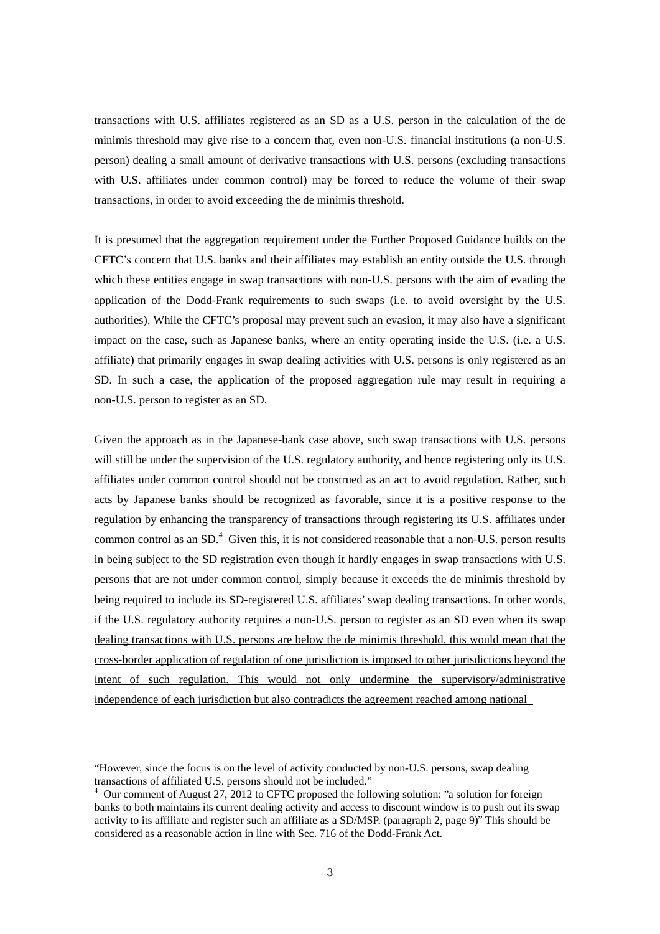transactions with U.S. affiliates registered as an SD as a U.S. person in the calculation of the de minimis threshold may give rise to a concern that, even non-U.S. financial institutions (a non-U.S. person) dealing a small amount of derivative transactions with U.S. persons (excluding transactions with U.S. affiliates under common control) may be forced to reduce the volume of their swap transactions, in order to avoid exceeding the de minimis threshold.

It is presumed that the aggregation requirement under the Further Proposed Guidance builds on the CFTC's concern that U.S. banks and their affiliates may establish an entity outside the U.S. through which these entities engage in swap transactions with non-U.S. persons with the aim of evading the application of the Dodd-Frank requirements to such swaps (i.e. to avoid oversight by the U.S. authorities). While the CFTC's proposal may prevent such an evasion, it may also have a significant impact on the case, such as Japanese banks, where an entity operating inside the U.S. (i.e. a U.S. affiliate) that primarily engages in swap dealing activities with U.S. persons is only registered as an SD. In such a case, the application of the proposed aggregation rule may result in requiring a non-U.S. person to register as an SD.

Given the approach as in the Japanese-bank case above, such swap transactions with U.S. persons will still be under the supervision of the U.S. regulatory authority, and hence registering only its U.S. affiliates under common control should not be construed as an act to avoid regulation. Rather, such acts by Japanese banks should be recognized as favorable, since it is a positive response to the regulation by enhancing the transparency of transactions through registering its U.S. affiliates under common control as an  $SD<sup>4</sup>$  Given this, it is not considered reasonable that a non-U.S. person results in being subject to the SD registration even though it hardly engages in swap transactions with U.S. persons that are not under common control, simply because it exceeds the de minimis threshold by being required to include its SD-registered U.S. affiliates' swap dealing transactions. In other words, if the U.S. regulatory authority requires a non-U.S. person to register as an SD even when its swap dealing transactions with U.S. persons are below the de minimis threshold, this would mean that the cross-border application of regulation of one jurisdiction is imposed to other jurisdictions beyond the intent of such regulation. This would not only undermine the supervisory/administrative independence of each jurisdiction but also contradicts the agreement reached among national

-

<sup>&</sup>quot;However, since the focus is on the level of activity conducted by non-U.S. persons, swap dealing transactions of affiliated U.S. persons should not be included."

<sup>&</sup>lt;sup>4</sup> Our comment of August 27, 2012 to CFTC proposed the following solution: "a solution for foreign banks to both maintains its current dealing activity and access to discount window is to push out its swap activity to its affiliate and register such an affiliate as a SD/MSP. (paragraph 2, page 9)" This should be considered as a reasonable action in line with Sec. 716 of the Dodd-Frank Act.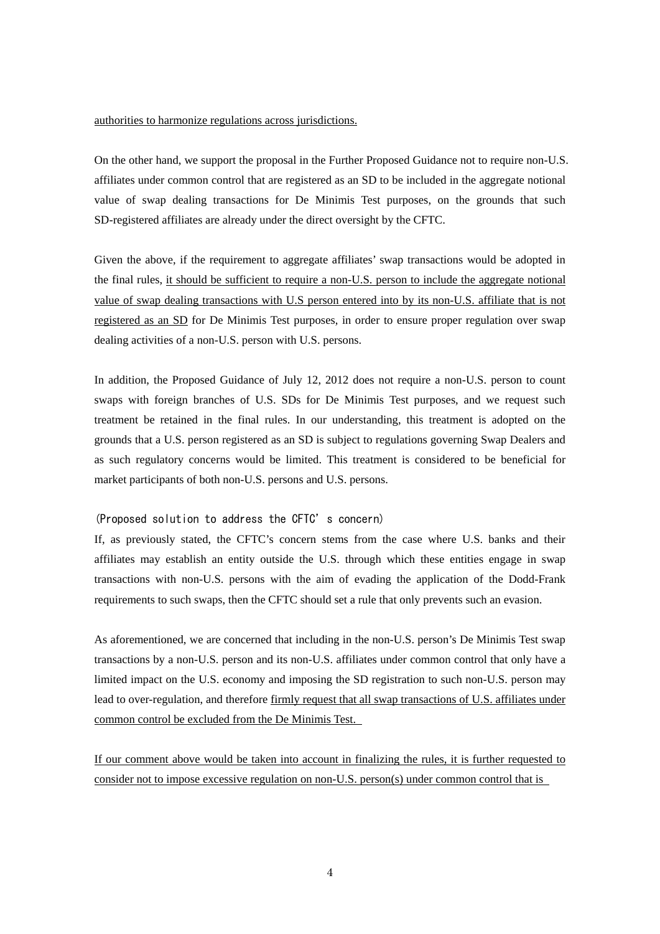### authorities to harmonize regulations across jurisdictions.

On the other hand, we support the proposal in the Further Proposed Guidance not to require non-U.S. affiliates under common control that are registered as an SD to be included in the aggregate notional value of swap dealing transactions for De Minimis Test purposes, on the grounds that such SD-registered affiliates are already under the direct oversight by the CFTC.

Given the above, if the requirement to aggregate affiliates' swap transactions would be adopted in the final rules, it should be sufficient to require a non-U.S. person to include the aggregate notional value of swap dealing transactions with U.S person entered into by its non-U.S. affiliate that is not registered as an SD for De Minimis Test purposes, in order to ensure proper regulation over swap dealing activities of a non-U.S. person with U.S. persons.

In addition, the Proposed Guidance of July 12, 2012 does not require a non-U.S. person to count swaps with foreign branches of U.S. SDs for De Minimis Test purposes, and we request such treatment be retained in the final rules. In our understanding, this treatment is adopted on the grounds that a U.S. person registered as an SD is subject to regulations governing Swap Dealers and as such regulatory concerns would be limited. This treatment is considered to be beneficial for market participants of both non-U.S. persons and U.S. persons.

### (Proposed solution to address the CFTC's concern)

If, as previously stated, the CFTC's concern stems from the case where U.S. banks and their affiliates may establish an entity outside the U.S. through which these entities engage in swap transactions with non-U.S. persons with the aim of evading the application of the Dodd-Frank requirements to such swaps, then the CFTC should set a rule that only prevents such an evasion.

As aforementioned, we are concerned that including in the non-U.S. person's De Minimis Test swap transactions by a non-U.S. person and its non-U.S. affiliates under common control that only have a limited impact on the U.S. economy and imposing the SD registration to such non-U.S. person may lead to over-regulation, and therefore firmly request that all swap transactions of U.S. affiliates under common control be excluded from the De Minimis Test.

If our comment above would be taken into account in finalizing the rules, it is further requested to consider not to impose excessive regulation on non-U.S. person(s) under common control that is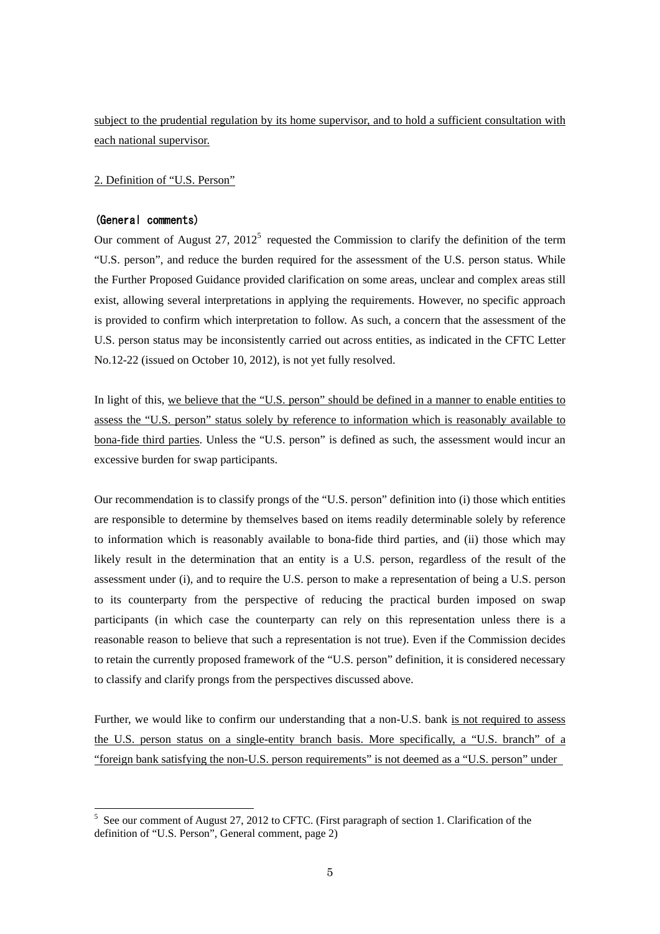subject to the prudential regulation by its home supervisor, and to hold a sufficient consultation with each national supervisor.

2. Definition of "U.S. Person"

## (General comments)

-

Our comment of August  $27$ ,  $2012^5$  requested the Commission to clarify the definition of the term "U.S. person", and reduce the burden required for the assessment of the U.S. person status. While the Further Proposed Guidance provided clarification on some areas, unclear and complex areas still exist, allowing several interpretations in applying the requirements. However, no specific approach is provided to confirm which interpretation to follow. As such, a concern that the assessment of the U.S. person status may be inconsistently carried out across entities, as indicated in the CFTC Letter No.12-22 (issued on October 10, 2012), is not yet fully resolved.

In light of this, we believe that the "U.S. person" should be defined in a manner to enable entities to assess the "U.S. person" status solely by reference to information which is reasonably available to bona-fide third parties. Unless the "U.S. person" is defined as such, the assessment would incur an excessive burden for swap participants.

Our recommendation is to classify prongs of the "U.S. person" definition into (i) those which entities are responsible to determine by themselves based on items readily determinable solely by reference to information which is reasonably available to bona-fide third parties, and (ii) those which may likely result in the determination that an entity is a U.S. person, regardless of the result of the assessment under (i), and to require the U.S. person to make a representation of being a U.S. person to its counterparty from the perspective of reducing the practical burden imposed on swap participants (in which case the counterparty can rely on this representation unless there is a reasonable reason to believe that such a representation is not true). Even if the Commission decides to retain the currently proposed framework of the "U.S. person" definition, it is considered necessary to classify and clarify prongs from the perspectives discussed above.

Further, we would like to confirm our understanding that a non-U.S. bank is not required to assess the U.S. person status on a single-entity branch basis. More specifically, a "U.S. branch" of a "foreign bank satisfying the non-U.S. person requirements" is not deemed as a "U.S. person" under

<sup>&</sup>lt;sup>5</sup> See our comment of August 27, 2012 to CFTC. (First paragraph of section 1. Clarification of the definition of "U.S. Person", General comment, page 2)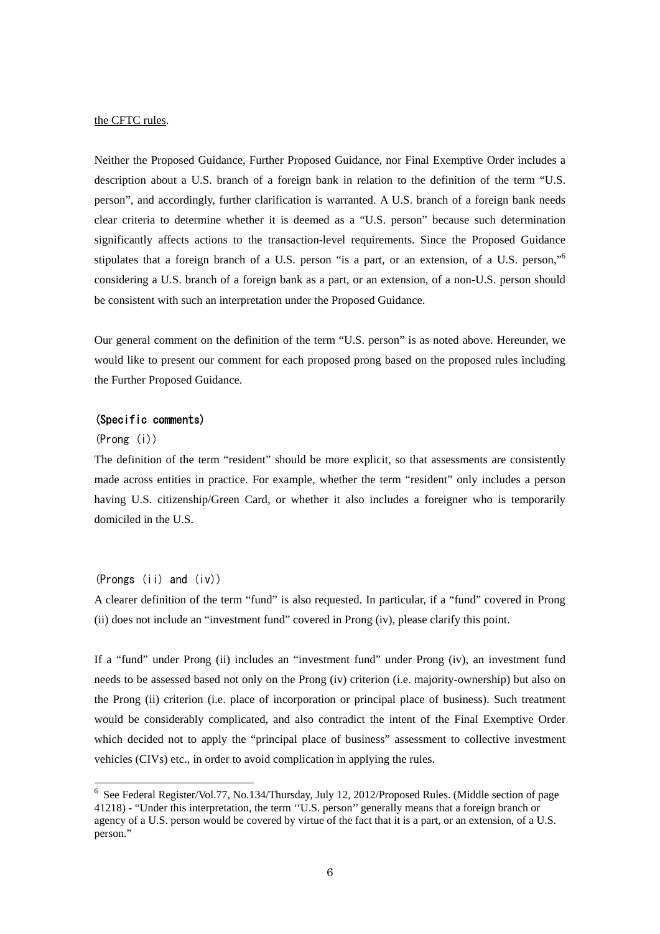#### the CFTC rules.

Neither the Proposed Guidance, Further Proposed Guidance, nor Final Exemptive Order includes a description about a U.S. branch of a foreign bank in relation to the definition of the term "U.S. person", and accordingly, further clarification is warranted. A U.S. branch of a foreign bank needs clear criteria to determine whether it is deemed as a "U.S. person" because such determination significantly affects actions to the transaction-level requirements. Since the Proposed Guidance stipulates that a foreign branch of a U.S. person "is a part, or an extension, of a U.S. person," considering a U.S. branch of a foreign bank as a part, or an extension, of a non-U.S. person should be consistent with such an interpretation under the Proposed Guidance.

Our general comment on the definition of the term "U.S. person" is as noted above. Hereunder, we would like to present our comment for each proposed prong based on the proposed rules including the Further Proposed Guidance.

# (Specific comments)

#### (Prong (i))

-

The definition of the term "resident" should be more explicit, so that assessments are consistently made across entities in practice. For example, whether the term "resident" only includes a person having U.S. citizenship/Green Card, or whether it also includes a foreigner who is temporarily domiciled in the U.S.

### (Prongs (ii) and (iv))

A clearer definition of the term "fund" is also requested. In particular, if a "fund" covered in Prong (ii) does not include an "investment fund" covered in Prong (iv), please clarify this point.

If a "fund" under Prong (ii) includes an "investment fund" under Prong (iv), an investment fund needs to be assessed based not only on the Prong (iv) criterion (i.e. majority-ownership) but also on the Prong (ii) criterion (i.e. place of incorporation or principal place of business). Such treatment would be considerably complicated, and also contradict the intent of the Final Exemptive Order which decided not to apply the "principal place of business" assessment to collective investment vehicles (CIVs) etc., in order to avoid complication in applying the rules.

<sup>&</sup>lt;sup>6</sup> See Federal Register/Vol.77, No.134/Thursday, July 12, 2012/Proposed Rules. (Middle section of page 41218) - "Under this interpretation, the term ''U.S. person'' generally means that a foreign branch or agency of a U.S. person would be covered by virtue of the fact that it is a part, or an extension, of a U.S. person."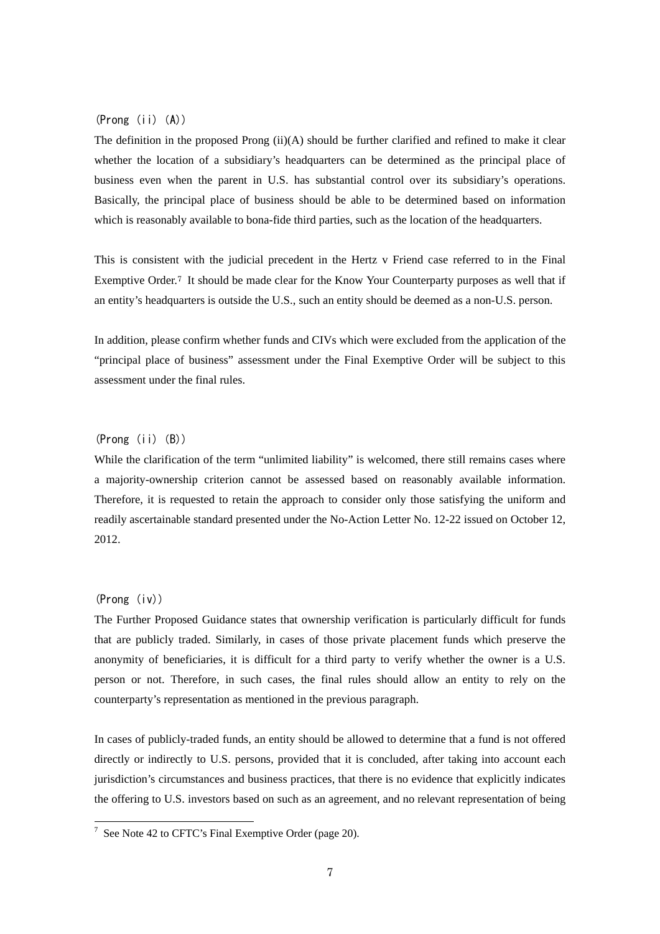## $(Prong (ii)(A))$

The definition in the proposed Prong  $(ii)(A)$  should be further clarified and refined to make it clear whether the location of a subsidiary's headquarters can be determined as the principal place of business even when the parent in U.S. has substantial control over its subsidiary's operations. Basically, the principal place of business should be able to be determined based on information which is reasonably available to bona-fide third parties, such as the location of the headquarters.

This is consistent with the judicial precedent in the Hertz v Friend case referred to in the Final Exemptive Order.<sup>7</sup> It should be made clear for the Know Your Counterparty purposes as well that if an entity's headquarters is outside the U.S., such an entity should be deemed as a non-U.S. person.

In addition, please confirm whether funds and CIVs which were excluded from the application of the "principal place of business" assessment under the Final Exemptive Order will be subject to this assessment under the final rules.

# $(Prong (ii) (B))$

While the clarification of the term "unlimited liability" is welcomed, there still remains cases where a majority-ownership criterion cannot be assessed based on reasonably available information. Therefore, it is requested to retain the approach to consider only those satisfying the uniform and readily ascertainable standard presented under the No-Action Letter No. 12-22 issued on October 12, 2012.

# (Prong (iv))

The Further Proposed Guidance states that ownership verification is particularly difficult for funds that are publicly traded. Similarly, in cases of those private placement funds which preserve the anonymity of beneficiaries, it is difficult for a third party to verify whether the owner is a U.S. person or not. Therefore, in such cases, the final rules should allow an entity to rely on the counterparty's representation as mentioned in the previous paragraph.

In cases of publicly-traded funds, an entity should be allowed to determine that a fund is not offered directly or indirectly to U.S. persons, provided that it is concluded, after taking into account each jurisdiction's circumstances and business practices, that there is no evidence that explicitly indicates the offering to U.S. investors based on such as an agreement, and no relevant representation of being

 $\frac{1}{7}$  See Note 42 to CFTC's Final Exemptive Order (page 20).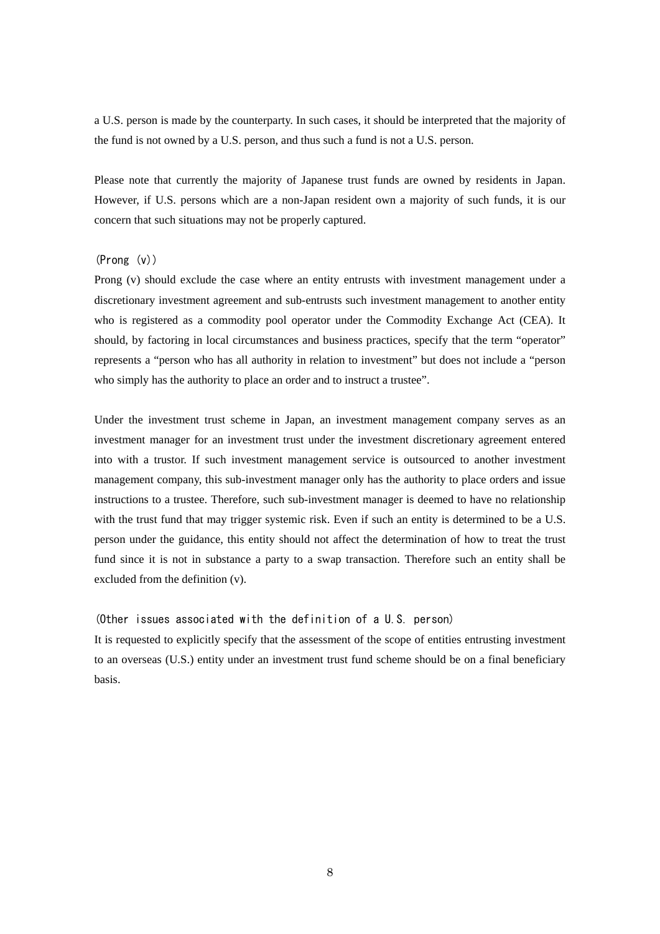a U.S. person is made by the counterparty. In such cases, it should be interpreted that the majority of the fund is not owned by a U.S. person, and thus such a fund is not a U.S. person.

Please note that currently the majority of Japanese trust funds are owned by residents in Japan. However, if U.S. persons which are a non-Japan resident own a majority of such funds, it is our concern that such situations may not be properly captured.

## (Prong (v))

Prong (v) should exclude the case where an entity entrusts with investment management under a discretionary investment agreement and sub-entrusts such investment management to another entity who is registered as a commodity pool operator under the Commodity Exchange Act (CEA). It should, by factoring in local circumstances and business practices, specify that the term "operator" represents a "person who has all authority in relation to investment" but does not include a "person who simply has the authority to place an order and to instruct a trustee".

Under the investment trust scheme in Japan, an investment management company serves as an investment manager for an investment trust under the investment discretionary agreement entered into with a trustor. If such investment management service is outsourced to another investment management company, this sub-investment manager only has the authority to place orders and issue instructions to a trustee. Therefore, such sub-investment manager is deemed to have no relationship with the trust fund that may trigger systemic risk. Even if such an entity is determined to be a U.S. person under the guidance, this entity should not affect the determination of how to treat the trust fund since it is not in substance a party to a swap transaction. Therefore such an entity shall be excluded from the definition (v).

#### (Other issues associated with the definition of a U.S. person)

It is requested to explicitly specify that the assessment of the scope of entities entrusting investment to an overseas (U.S.) entity under an investment trust fund scheme should be on a final beneficiary basis.